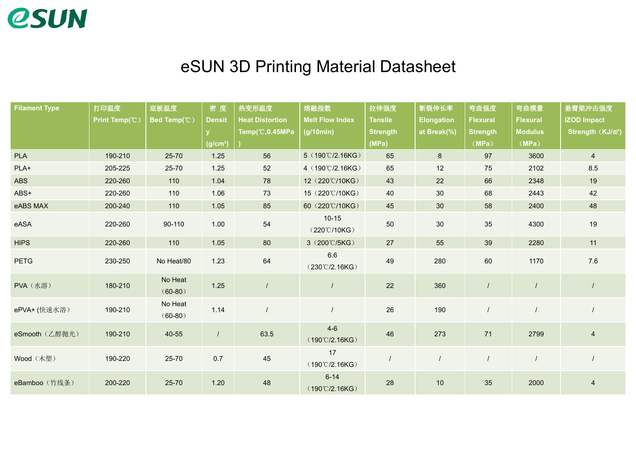

## eSUN 3D Printing Material Datasheet

| <b>Filament Type</b> | 打印温度           | 底板温度                 | 密度                   | 热变形温度                  | 熔融指数                                 | 拉伸强度            | 断裂伸长率             | 弯曲强度            | 弯曲模量            | 悬臂梁冲击强度                       |
|----------------------|----------------|----------------------|----------------------|------------------------|--------------------------------------|-----------------|-------------------|-----------------|-----------------|-------------------------------|
|                      | Print Temp(°C) | Bed Temp(°C)         | <b>Densit</b>        | <b>Heat Distortion</b> | <b>Melt Flow Index</b>               | <b>Tensile</b>  | <b>Elongation</b> | <b>Flexural</b> | <b>Flexural</b> | <b>IZOD Impact</b>            |
|                      |                |                      |                      | Temp(°C,0.45MPa        | (g/10min)                            | <b>Strength</b> | at Break(%)       | <b>Strength</b> | <b>Modulus</b>  | Strength (KJ/m <sup>2</sup> ) |
|                      |                |                      | (g/cm <sup>3</sup> ) |                        |                                      | (MPa)           |                   | (MPa)           | (MPa)           |                               |
| <b>PLA</b>           | 190-210        | 25-70                | 1.25                 | 56                     | 5 (190°C/2.16KG)                     | 65              | 8 <sup>°</sup>    | 97              | 3600            | $\overline{4}$                |
| PLA+                 | 205-225        | 25-70                | 1.25                 | 52                     | 4 (190°C/2.16KG)                     | 65              | 12                | 75              | 2102            | 8.5                           |
| <b>ABS</b>           | 220-260        | 110                  | 1.04                 | 78                     | 12 (220°C/10KG)                      | 43              | 22                | 66              | 2348            | 19                            |
| ABS+                 | 220-260        | 110                  | 1.06                 | 73                     | 15 (220℃/10KG)                       | 40              | 30                | 68              | 2443            | 42                            |
| eABS MAX             | 200-240        | 110                  | 1.05                 | 85                     | 60 (220°C/10KG)                      | 45              | 30                | 58              | 2400            | 48                            |
| eASA                 | 220-260        | 90-110               | 1.00                 | 54                     | $10 - 15$<br>(220°C/10KG)            | 50              | 30                | 35              | 4300            | 19                            |
| <b>HIPS</b>          | 220-260        | 110                  | 1.05                 | 80                     | 3 (200°C/5KG)                        | 27              | 55                | 39              | 2280            | 11                            |
| <b>PETG</b>          | 230-250        | No Heat/80           | 1.23                 | 64                     | 6.6<br>$(230^{\circ}$ C/2.16KG)      | 49              | 280               | 60              | 1170            | $7.6\,$                       |
| PVA (水溶)             | 180-210        | No Heat<br>$(60-80)$ | $1.25$               | $\prime$               |                                      | 22              | 360               |                 |                 |                               |
| ePVA+ (快速水溶)         | 190-210        | No Heat<br>$(60-80)$ | 1.14                 |                        |                                      | 26              | 190               |                 |                 |                               |
| eSmooth (乙醇抛光)       | 190-210        | 40-55                | $\prime$             | 63.5                   | $4-6$<br>$(190^{\circ}$ C/2.16KG)    | 46              | 273               | 71              | 2799            | $\overline{4}$                |
| Wood (木塑)            | 190-220        | 25-70                | 0.7                  | 45                     | 17<br>$(190^{\circ}$ C/2.16KG)       |                 |                   |                 |                 |                               |
| eBamboo (竹线条)        | 200-220        | 25-70                | 1.20                 | 48                     | $6 - 14$<br>$(190^{\circ}$ C/2.16KG) | 28              | 10                | 35              | 2000            | $\overline{4}$                |